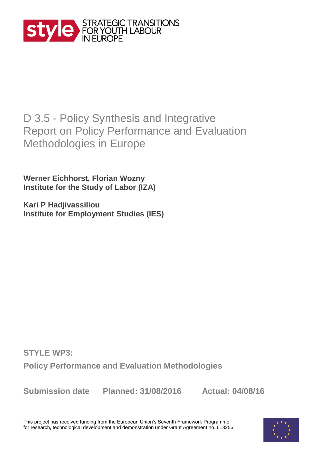

# D 3.5 - Policy Synthesis and Integrative Report on Policy Performance and Evaluation Methodologies in Europe

**Werner Eichhorst, Florian Wozny Institute for the Study of Labor (IZA)**

**Kari P Hadjivassiliou Institute for Employment Studies (IES)**

**STYLE WP3: Policy Performance and Evaluation Methodologies** 

**Submission date Planned: 31/08/2016 Actual: 04/08/16**

This project has received funding from the European Union's Seventh Framework Programme for research, technological development and demonstration under Grant Agreement no. 613256.

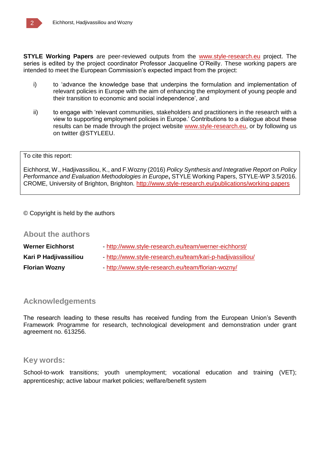**STYLE Working Papers** are peer-reviewed outputs from the www.style-research.eu project. The series is edited by the project coordinator Professor Jacqueline O'Reilly. These working papers are intended to meet the European Commission's expected impact from the project:

- i) to 'advance the knowledge base that underpins the formulation and implementation of relevant policies in Europe with the aim of enhancing the employment of young people and their transition to economic and social independence', and
- ii) to engage with 'relevant communities, stakeholders and practitioners in the research with a view to supporting employment policies in Europe.' Contributions to a dialogue about these results can be made through the project website www.style-research.eu, or by following us on twitter @STYLEEU.

#### To cite this report:

Eichhorst, W., Hadjivassiliou, K., and F.Wozny (2016) *Policy Synthesis and Integrative Report on Policy Performance and Evaluation Methodologies in Europe***,** STYLE Working Papers, STYLE-WP 3.5/2016. CROME, University of Brighton, Brighton. http://www.style-research.eu/publications/working-papers

#### © Copyright is held by the authors

### **About the authors**

| <b>Werner Eichhorst</b> | - http://www.style-research.eu/team/werner-eichhorst/      |
|-------------------------|------------------------------------------------------------|
| Kari P Hadjivassiliou   | - http://www.style-research.eu/team/kari-p-hadjivassiliou/ |
| <b>Florian Wozny</b>    | - http://www.style-research.eu/team/florian-wozny/         |

# **Acknowledgements**

The research leading to these results has received funding from the European Union's Seventh Framework Programme for research, technological development and demonstration under grant agreement no. 613256.

### **Key words:**

School-to-work transitions; youth unemployment; vocational education and training (VET); apprenticeship; active labour market policies; welfare/benefit system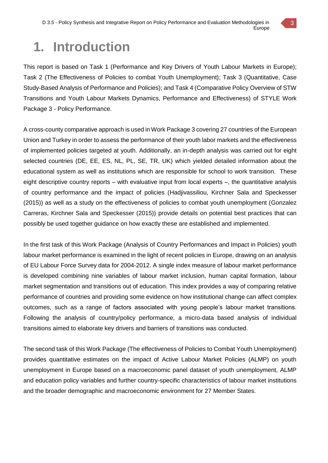# **1. Introduction**

This report is based on Task 1 (Performance and Key Drivers of Youth Labour Markets in Europe); Task 2 (The Effectiveness of Policies to combat Youth Unemployment); Task 3 (Quantitative, Case Study-Based Analysis of Performance and Policies); and Task 4 (Comparative Policy Overview of STW Transitions and Youth Labour Markets Dynamics, Performance and Effectiveness) of STYLE Work Package 3 - Policy Performance.

A cross-county comparative approach is used in Work Package 3 covering 27 countries of the European Union and Turkey in order to assess the performance of their youth labor markets and the effectiveness of implemented policies targeted at youth. Additionally, an in-depth analysis was carried out for eight selected countries (DE, EE, ES, NL, PL, SE, TR, UK) which yielded detailed information about the educational system as well as institutions which are responsible for school to work transition. These eight descriptive country reports – with evaluative input from local experts –, the quantitative analysis of country performance and the impact of policies (Hadjivassiliou, Kirchner Sala and Speckesser (2015)) as well as a study on the effectiveness of policies to combat youth unemployment (Gonzalez Carreras, Kirchner Sala and Speckesser (2015)) provide details on potential best practices that can possibly be used together guidance on how exactly these are established and implemented.

In the first task of this Work Package (Analysis of Country Performances and Impact in Policies) youth labour market performance is examined in the light of recent policies in Europe, drawing on an analysis of EU Labour Force Survey data for 2004-2012. A single index measure of labour market performance is developed combining nine variables of labour market inclusion, human capital formation, labour market segmentation and transitions out of education. This index provides a way of comparing relative performance of countries and providing some evidence on how institutional change can affect complex outcomes, such as a range of factors associated with young people's labour market transitions. Following the analysis of country/policy performance, a micro-data based analysis of individual transitions aimed to elaborate key drivers and barriers of transitions was conducted.

The second task of this Work Package (The effectiveness of Policies to Combat Youth Unemployment) provides quantitative estimates on the impact of Active Labour Market Policies (ALMP) on youth unemployment in Europe based on a macroeconomic panel dataset of youth unemployment, ALMP and education policy variables and further country-specific characteristics of labour market institutions and the broader demographic and macroeconomic environment for 27 Member States.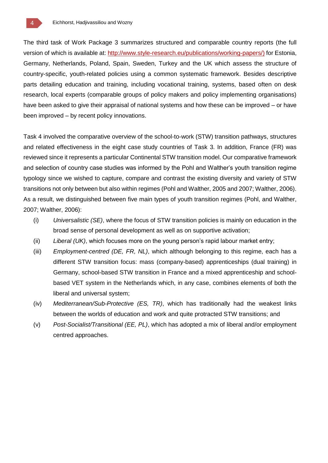The third task of Work Package 3 summarizes structured and comparable country reports (the full version of which is available at: http://www.style-research.eu/publications/working-papers/) for Estonia, Germany, Netherlands, Poland, Spain, Sweden, Turkey and the UK which assess the structure of country-specific, youth-related policies using a common systematic framework. Besides descriptive parts detailing education and training, including vocational training, systems, based often on desk research, local experts (comparable groups of policy makers and policy implementing organisations) have been asked to give their appraisal of national systems and how these can be improved – or have been improved – by recent policy innovations.

Task 4 involved the comparative overview of the school-to-work (STW) transition pathways, structures and related effectiveness in the eight case study countries of Task 3. In addition, France (FR) was reviewed since it represents a particular Continental STW transition model. Our comparative framework and selection of country case studies was informed by the Pohl and Walther's youth transition regime typology since we wished to capture, compare and contrast the existing diversity and variety of STW transitions not only between but also within regimes (Pohl and Walther, 2005 and 2007; Walther, 2006). As a result, we distinguished between five main types of youth transition regimes (Pohl, and Walther, 2007; Walther, 2006):

- (i) *Universalistic (SE)*, where the focus of STW transition policies is mainly on education in the broad sense of personal development as well as on supportive activation;
- (ii) *Liberal (UK)*, which focuses more on the young person's rapid labour market entry;
- (iii) *Employment-centred (DE, FR, NL)*, which although belonging to this regime, each has a different STW transition focus: mass (company-based) apprenticeships (dual training) in Germany, school-based STW transition in France and a mixed apprenticeship and schoolbased VET system in the Netherlands which, in any case, combines elements of both the liberal and universal system;
- (iv) *Mediterranean/Sub-Protective (ES, TR)*, which has traditionally had the weakest links between the worlds of education and work and quite protracted STW transitions; and
- (v) *Post-Socialist/Transitional (EE, PL)*, which has adopted a mix of liberal and/or employment centred approaches.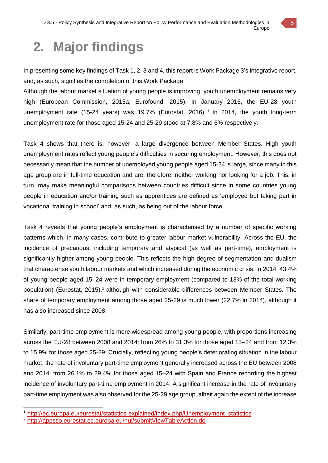# **2. Major findings**

In presenting some key findings of Task 1, 2, 3 and 4, this report is Work Package 3's integrative report, and, as such, signifies the completion of this Work Package.

Although the labour market situation of young people is improving, youth unemployment remains very high (European Commission, 2015a; Eurofound, 2015). In January 2016, the EU-28 youth unemployment rate (15-24 years) was 19.7% (Eurostat, 2016).<sup>1</sup> In 2014, the youth long-term unemployment rate for those aged 15-24 and 25-29 stood at 7.8% and 6% respectively.

Task 4 shows that there is, however, a large divergence between Member States. High youth unemployment rates reflect young people's difficulties in securing employment. However, this does not necessarily mean that the number of unemployed young people aged 15-24 is large, since many in this age group are in full-time education and are, therefore, neither working nor looking for a job. This, in turn, may make meaningful comparisons between countries difficult since in some countries young people in education and/or training such as apprentices are defined as 'employed but taking part in vocational training in school' and, as such, as being out of the labour force.

Task 4 reveals that young people's employment is characterised by a number of specific working patterns which, in many cases, contribute to greater labour market vulnerability. Across the EU, the incidence of precarious, including temporary and atypical (as well as part-time), employment is significantly higher among young people. This reflects the high degree of segmentation and dualism that characterise youth labour markets and which increased during the economic crisis. In 2014, 43.4% of young people aged 15–24 were in temporary employment (compared to 13% of the total working population) (Eurostat, 2015),<sup>2</sup> although with considerable differences between Member States. The share of temporary employment among those aged 25-29 is much lower (22.7% in 2014), although it has also increased since 2008.

Similarly, part**-**time employment is more widespread among young people, with proportions increasing across the EU-28 between 2008 and 2014: from 26% to 31.3% for those aged 15–24 and from 12.3% to 15.9% for those aged 25-29. Crucially, reflecting young people's deteriorating situation in the labour market, the rate of involuntary part-time employment generally increased across the EU between 2008 and 2014: from 26.1% to 29.4% for those aged 15–24 with Spain and France recording the highest incidence of involuntary part-time employment in 2014. A significant increase in the rate of involuntary part-time employment was also observed for the 25-29 age group, albeit again the extent of the increase

5

<sup>1</sup> http://ec.europa.eu/eurostat/statistics-explained/index.php/Unemployment\_statistics

<sup>2</sup> http://appsso.eurostat.ec.europa.eu/nui/submitViewTableAction.do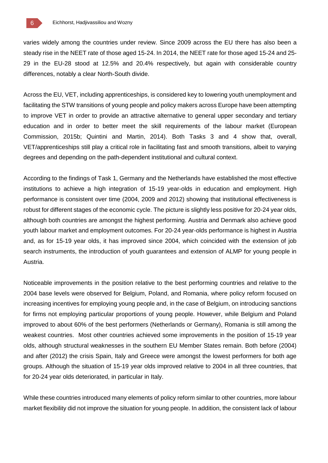varies widely among the countries under review. Since 2009 across the EU there has also been a steady rise in the NEET rate of those aged 15-24. In 2014, the NEET rate for those aged 15-24 and 25- 29 in the EU-28 stood at 12.5% and 20.4% respectively, but again with considerable country differences, notably a clear North-South divide.

Across the EU, VET, including apprenticeships, is considered key to lowering youth unemployment and facilitating the STW transitions of young people and policy makers across Europe have been attempting to improve VET in order to provide an attractive alternative to general upper secondary and tertiary education and in order to better meet the skill requirements of the labour market (European Commission, 2015b; Quintini and Martin, 2014). Both Tasks 3 and 4 show that, overall, VET/apprenticeships still play a critical role in facilitating fast and smooth transitions, albeit to varying degrees and depending on the path-dependent institutional and cultural context.

According to the findings of Task 1, Germany and the Netherlands have established the most effective institutions to achieve a high integration of 15-19 year-olds in education and employment. High performance is consistent over time (2004, 2009 and 2012) showing that institutional effectiveness is robust for different stages of the economic cycle. The picture is slightly less positive for 20-24 year olds, although both countries are amongst the highest performing. Austria and Denmark also achieve good youth labour market and employment outcomes. For 20-24 year-olds performance is highest in Austria and, as for 15-19 year olds, it has improved since 2004, which coincided with the extension of job search instruments, the introduction of youth guarantees and extension of ALMP for young people in Austria.

Noticeable improvements in the position relative to the best performing countries and relative to the 2004 base levels were observed for Belgium, Poland, and Romania, where policy reform focused on increasing incentives for employing young people and, in the case of Belgium, on introducing sanctions for firms not employing particular proportions of young people. However, while Belgium and Poland improved to about 60% of the best performers (Netherlands or Germany), Romania is still among the weakest countries. Most other countries achieved some improvements in the position of 15-19 year olds, although structural weaknesses in the southern EU Member States remain. Both before (2004) and after (2012) the crisis Spain, Italy and Greece were amongst the lowest performers for both age groups. Although the situation of 15-19 year olds improved relative to 2004 in all three countries, that for 20-24 year olds deteriorated, in particular in Italy.

While these countries introduced many elements of policy reform similar to other countries, more labour market flexibility did not improve the situation for young people. In addition, the consistent lack of labour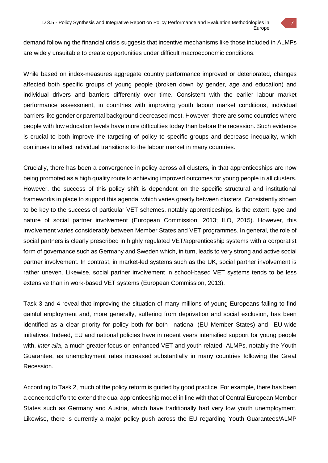demand following the financial crisis suggests that incentive mechanisms like those included in ALMPs are widely unsuitable to create opportunities under difficult macroeconomic conditions.

While based on index-measures aggregate country performance improved or deteriorated, changes affected both specific groups of young people (broken down by gender, age and education) and individual drivers and barriers differently over time. Consistent with the earlier labour market performance assessment, in countries with improving youth labour market conditions, individual barriers like gender or parental background decreased most. However, there are some countries where people with low education levels have more difficulties today than before the recession. Such evidence is crucial to both improve the targeting of policy to specific groups and decrease inequality, which continues to affect individual transitions to the labour market in many countries.

Crucially, there has been a convergence in policy across all clusters, in that apprenticeships are now being promoted as a high quality route to achieving improved outcomes for young people in all clusters. However, the success of this policy shift is dependent on the specific structural and institutional frameworks in place to support this agenda, which varies greatly between clusters. Consistently shown to be key to the success of particular VET schemes, notably apprenticeships, is the extent, type and nature of social partner involvement (European Commission, 2013; ILO, 2015). However, this involvement varies considerably between Member States and VET programmes. In general, the role of social partners is clearly prescribed in highly regulated VET/apprenticeship systems with a corporatist form of governance such as Germany and Sweden which, in turn, leads to very strong and active social partner involvement. In contrast, in market-led systems such as the UK, social partner involvement is rather uneven. Likewise, social partner involvement in school-based VET systems tends to be less extensive than in work-based VET systems (European Commission, 2013).

Task 3 and 4 reveal that improving the situation of many millions of young Europeans failing to find gainful employment and, more generally, suffering from deprivation and social exclusion, has been identified as a clear priority for policy both for both national (EU Member States) and EU-wide initiatives. Indeed, EU and national policies have in recent years intensified support for young people with, *inter alia*, a much greater focus on enhanced VET and youth-related ALMPs, notably the Youth Guarantee, as unemployment rates increased substantially in many countries following the Great Recession.

According to Task 2, much of the policy reform is guided by good practice. For example, there has been a concerted effort to extend the dual apprenticeship model in line with that of Central European Member States such as Germany and Austria, which have traditionally had very low youth unemployment. Likewise, there is currently a major policy push across the EU regarding Youth Guarantees/ALMP

7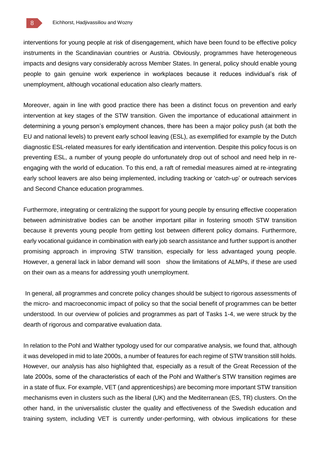interventions for young people at risk of disengagement, which have been found to be effective policy instruments in the Scandinavian countries or Austria. Obviously, programmes have heterogeneous impacts and designs vary considerably across Member States. In general, policy should enable young people to gain genuine work experience in workplaces because it reduces individual's risk of unemployment, although vocational education also clearly matters.

Moreover, again in line with good practice there has been a distinct focus on prevention and early intervention at key stages of the STW transition. Given the importance of educational attainment in determining a young person's employment chances, there has been a major policy push (at both the EU and national levels) to prevent early school leaving (ESL), as exemplified for example by the Dutch diagnostic ESL-related measures for early identification and intervention. Despite this policy focus is on preventing ESL, a number of young people do unfortunately drop out of school and need help in reengaging with the world of education. To this end, a raft of remedial measures aimed at re-integrating early school leavers are also being implemented, including tracking or 'catch-up' or outreach services and Second Chance education programmes.

Furthermore, integrating or centralizing the support for young people by ensuring effective cooperation between administrative bodies can be another important pillar in fostering smooth STW transition because it prevents young people from getting lost between different policy domains. Furthermore, early vocational guidance in combination with early job search assistance and further support is another promising approach in improving STW transition, especially for less advantaged young people. However, a general lack in labor demand will soon show the limitations of ALMPs, if these are used on their own as a means for addressing youth unemployment.

In general, all programmes and concrete policy changes should be subject to rigorous assessments of the micro- and macroeconomic impact of policy so that the social benefit of programmes can be better understood. In our overview of policies and programmes as part of Tasks 1-4, we were struck by the dearth of rigorous and comparative evaluation data.

In relation to the Pohl and Walther typology used for our comparative analysis, we found that, although it was developed in mid to late 2000s, a number of features for each regime of STW transition still holds. However, our analysis has also highlighted that, especially as a result of the Great Recession of the late 2000s, some of the characteristics of each of the Pohl and Walther's STW transition regimes are in a state of flux. For example, VET (and apprenticeships) are becoming more important STW transition mechanisms even in clusters such as the liberal (UK) and the Mediterranean (ES, TR) clusters. On the other hand, in the universalistic cluster the quality and effectiveness of the Swedish education and training system, including VET is currently under-performing, with obvious implications for these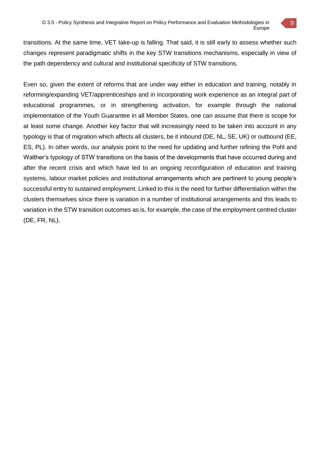transitions. At the same time, VET take-up is falling. That said, it is still early to assess whether such changes represent paradigmatic shifts in the key STW transitions mechanisms, especially in view of the path dependency and cultural and institutional specificity of STW transitions.

Even so, given the extent of reforms that are under way either in education and training, notably in reforming/expanding VET/apprenticeships and in incorporating work experience as an integral part of educational programmes, or in strengthening activation, for example through the national implementation of the Youth Guarantee in all Member States, one can assume that there is scope for at least some change. Another key factor that will increasingly need to be taken into account in any typology is that of migration which affects all clusters, be it inbound (DE, NL, SE, UK) or outbound (EE, ES, PL). In other words, our analysis point to the need for updating and further refining the Pohl and Walther's typology of STW transitions on the basis of the developments that have occurred during and after the recent crisis and which have led to an ongoing reconfiguration of education and training systems, labour market policies and institutional arrangements which are pertinent to young people's successful entry to sustained employment. Linked to this is the need for further differentiation within the clusters themselves since there is variation in a number of institutional arrangements and this leads to variation in the STW transition outcomes as is, for example, the case of the employment centred cluster (DE, FR, NL).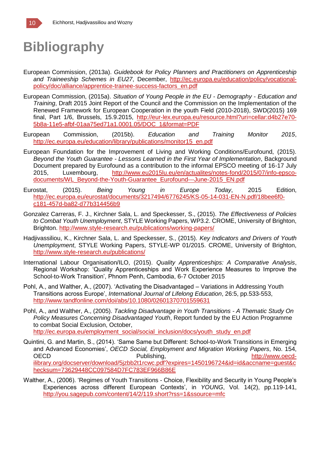# **Bibliography**

- European Commission, (2013a). *Guidebook for Policy Planners and Practitioners on Apprenticeship and Traineeship Schemes in EU27*, December, http://ec.europa.eu/education/policy/vocationalpolicy/doc/alliance/apprentice-trainee-success-factors\_en.pdf
- European Commission, (2015a). *Situation of Young People in the EU - Demography - Education and Training*, Draft 2015 Joint Report of the Council and the Commission on the Implementation of the Renewed Framework for European Cooperation in the youth Field (2010-2018), SWD(2015) 169 final, Part 1/6, Brussels, 15.9.2015, http://eur-lex.europa.eu/resource.html?uri=cellar:d4b27e70- 5b8a-11e5-afbf-01aa75ed71a1.0001.05/DOC\_1&format=PDF
- European Commission, (2015b). *Education and Training Monitor 2015*, http://ec.europa.eu/education/library/publications/monitor15\_en.pdf
- European Foundation for the Improvement of Living and Working Conditions/Eurofound, (2015). *Beyond the Youth Guarantee - Lessons Learned in the First Year of Implementation*, Background Document prepared by Eurofound as a contribution to the informal EPSCO meeting of 16-17 July 2015, Luxembourg, http://www.eu2015lu.eu/en/actualites/notes-fond/2015/07/info-epscodocuments/WL\_Beyond-the-Youth-Guarantee\_Eurofound---June-2015\_EN.pdf
- Eurostat, (2015). *Being Young in Europe Today*, 2015 Edition, http://ec.europa.eu/eurostat/documents/3217494/6776245/KS-05-14-031-EN-N.pdf/18bee6f0 c181-457d-ba82-d77b314456b9
- Gonzalez Carreras, F. J., Kirchner Sala, L. and Speckesser, S., (2015). *The Effectiveness of Policies to Combat Youth Unemployment*, STYLE Working Papers, WP3.2. CROME, University of Brighton, Brighton. http://www.style-research.eu/publications/working-papers/
- Hadjivassiliou, K., Kirchner Sala, L. and Speckesser, S., (2015). *Key Indicators and Drivers of Youth Unemployment*, STYLE Working Papers, STYLE-WP 01/2015. CROME, University of Brighton, http://www.style-research.eu/publications/
- International Labour Organisation/ILO, (2015). *Quality Apprenticeships: A Comparative Analysis*, Regional Workshop: 'Quality Apprenticeships and Work Experience Measures to Improve the School-to-Work Transition', Phnom Penh, Cambodia, 6-7 October 2015
- Pohl, A., and Walther, A., (2007). 'Activating the Disadvantaged Variations in Addressing Youth Transitions across Europe', *International Journal of Lifelong Education*, 26:5, pp.533-553, http://www.tandfonline.com/doi/abs/10.1080/02601370701559631
- Pohl, A., and Walther, A., (2005). *Tackling Disadvantage in Youth Transitions - A Thematic Study On Policy Measures Concerning Disadvantaged Youth*, Report funded by the EU Action Programme to combat Social Exclusion, October, http://ec.europa.eu/employment\_social/social\_inclusion/docs/youth\_study\_en.pdf
- Quintini, G. and Martin, S., (2014). 'Same Same but Different: School-to-Work Transitions in Emerging and Advanced Economies', *OECD Social, Employment and Migration Working Papers*, No. 154, OECD **Publishing,** http://www.oecdilibrary.org/docserver/download/5jzbb2t1rcwc.pdf?expires=1450196724&id=id&accname=guest&c hecksum=73629448CC097584D7FC783EF966B86E
- Walther, A., (2006). 'Regimes of Youth Transitions Choice, Flexibility and Security in Young People's Experiences across different European Contexts', in *YOUNG*, Vol. 14(2), pp.119-141, http://you.sagepub.com/content/14/2/119.short?rss=1&ssource=mfc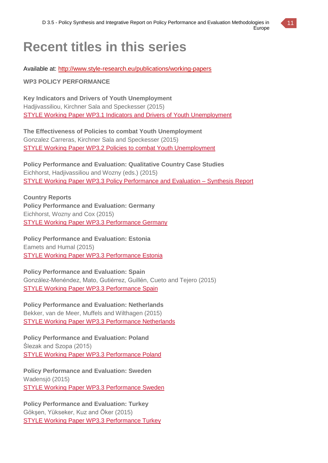

# **Recent titles in this series**

Available at: http://www.style-research.eu/publications/working-papers

**WP3 POLICY PERFORMANCE**

**Key Indicators and Drivers of Youth Unemployment** Hadjivassiliou, Kirchner Sala and Speckesser (2015) STYLE Working Paper WP3.1 Indicators and Drivers of Youth Unemployment

**The Effectiveness of Policies to combat Youth Unemployment** Gonzalez Carreras, Kirchner Sala and Speckesser (2015) STYLE Working Paper WP3.2 Policies to combat Youth Unemployment

**Policy Performance and Evaluation: Qualitative Country Case Studies** Eichhorst, Hadjivassiliou and Wozny (eds.) (2015) STYLE Working Paper WP3.3 Policy Performance and Evaluation – Synthesis Report

**Country Reports Policy Performance and Evaluation: Germany** Eichhorst, Wozny and Cox (2015) STYLE Working Paper WP3.3 Performance Germany

**Policy Performance and Evaluation: Estonia** Eamets and Humal (2015) STYLE Working Paper WP3.3 Performance Estonia

**Policy Performance and Evaluation: Spain** González-Menéndez, Mato, Gutiérrez, Guillén, Cueto and Tejero (2015) STYLE Working Paper WP3.3 Performance Spain

**Policy Performance and Evaluation: Netherlands** Bekker, van de Meer, Muffels and Wilthagen (2015) STYLE Working Paper WP3.3 Performance Netherlands

**Policy Performance and Evaluation: Poland** Ślezak and Szopa (2015) STYLE Working Paper WP3.3 Performance Poland

**Policy Performance and Evaluation: Sweden** Wadensjö (2015) STYLE Working Paper WP3.3 Performance Sweden

**Policy Performance and Evaluation: Turkey** Gökşen, Yükseker, Kuz and Öker (2015) STYLE Working Paper WP3.3 Performance Turkey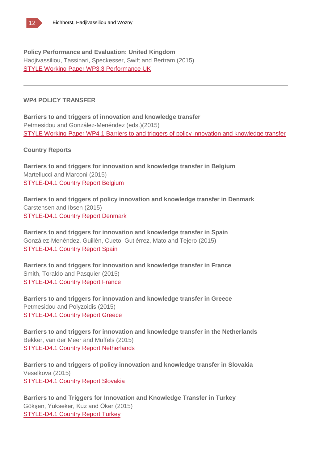**Policy Performance and Evaluation: United Kingdom** Hadjivassiliou, Tassinari, Speckesser, Swift and Bertram (2015) STYLE Working Paper WP3.3 Performance UK

### **WP4 POLICY TRANSFER**

**Barriers to and triggers of innovation and knowledge transfer** Petmesidou and González-Menéndez (eds.)(2015) STYLE Working Paper WP4.1 Barriers to and triggers of policy innovation and knowledge transfer

### **Country Reports**

**Barriers to and triggers for innovation and knowledge transfer in Belgium** Martellucci and Marconi (2015) STYLE-D4.1 Country Report Belgium

**Barriers to and triggers of policy innovation and knowledge transfer in Denmark** Carstensen and Ibsen (2015) STYLE-D4.1 Country Report Denmark

**Barriers to and triggers for innovation and knowledge transfer in Spain** González-Menéndez, Guillén, Cueto, Gutiérrez, Mato and Tejero (2015) STYLE-D4.1 Country Report Spain

**Barriers to and triggers for innovation and knowledge transfer in France** Smith, Toraldo and Pasquier (2015) STYLE-D4.1 Country Report France

**Barriers to and triggers for innovation and knowledge transfer in Greece** Petmesidou and Polyzoidis (2015) STYLE-D4.1 Country Report Greece

**Barriers to and triggers for innovation and knowledge transfer in the Netherlands** Bekker, van der Meer and Muffels (2015) STYLE-D4.1 Country Report Netherlands

**Barriers to and triggers of policy innovation and knowledge transfer in Slovakia** Veselkova (2015) STYLE-D4.1 Country Report Slovakia

**Barriers to and Triggers for Innovation and Knowledge Transfer in Turkey** Gökşen, Yükseker, Kuz and Öker (2015) STYLE-D4.1 Country Report Turkey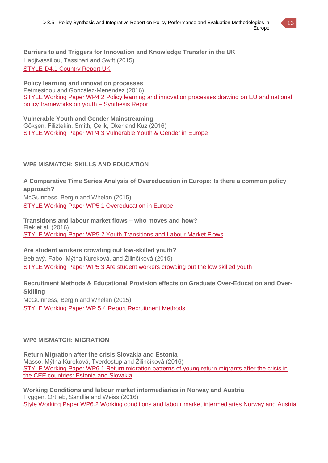

**Barriers to and Triggers for Innovation and Knowledge Transfer in the UK** Hadjivassiliou, Tassinari and Swift (2015) STYLE-D4.1 Country Report UK

**Policy learning and innovation processes**

Petmesidou and González-Menéndez (2016) STYLE Working Paper WP4.2 Policy learning and innovation processes drawing on EU and national policy frameworks on youth – Synthesis Report

**Vulnerable Youth and Gender Mainstreaming** Gökşen, Filiztekin, Smith, Çelik, Öker and Kuz (2016) STYLE Working Paper WP4.3 Vulnerable Youth & Gender in Europe

# **WP5 MISMATCH: SKILLS AND EDUCATION**

**A Comparative Time Series Analysis of Overeducation in Europe: Is there a common policy approach?** McGuinness, Bergin and Whelan (2015) STYLE Working Paper WP5.1 Overeducation in Europe

**Transitions and labour market flows – who moves and how?** Flek et al. (2016) STYLE Working Paper WP5.2 Youth Transitions and Labour Market Flows

**Are student workers crowding out low-skilled youth?** Beblavý, Fabo, Mýtna Kureková, and Žilinčíková (2015) STYLE Working Paper WP5.3 Are student workers crowding out the low skilled youth

**Recruitment Methods & Educational Provision effects on Graduate Over-Education and Over-Skilling** McGuinness, Bergin and Whelan (2015) STYLE Working Paper WP 5.4 Report Recruitment Methods

# **WP6 MISMATCH: MIGRATION**

**Return Migration after the crisis Slovakia and Estonia** Masso, Mýtna Kureková, Tverdostup and Žilinčíková (2016) STYLE Working Paper WP6.1 Return migration patterns of young return migrants after the crisis in the CEE countries: Estonia and Slovakia

**Working Conditions and labour market intermediaries in Norway and Austria** Hyggen, Ortlieb, Sandlie and Weiss (2016) Style Working Paper WP6.2 Working conditions and labour market intermediaries Norway and Austria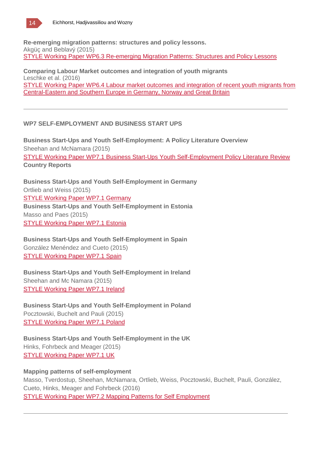

**Re-emerging migration patterns: structures and policy lessons.** Akgüç and Beblavý (2015) STYLE Working Paper WP6.3 Re-emerging Migration Patterns: Structures and Policy Lessons

**Comparing Labour Market outcomes and integration of youth migrants** Leschke et al. (2016) STYLE Working Paper WP6.4 Labour market outcomes and integration of recent youth migrants from Central-Eastern and Southern Europe in Germany, Norway and Great Britain

# **WP7 SELF-EMPLOYMENT AND BUSINESS START UPS**

**Business Start-Ups and Youth Self-Employment: A Policy Literature Overview** Sheehan and McNamara (2015) STYLE Working Paper WP7.1 Business Start-Ups Youth Self-Employment Policy Literature Review **Country Reports**

**Business Start-Ups and Youth Self-Employment in Germany** Ortlieb and Weiss (2015) STYLE Working Paper WP7.1 Germany **Business Start-Ups and Youth Self-Employment in Estonia** Masso and Paes (2015) STYLE Working Paper WP7.1 Estonia

**Business Start-Ups and Youth Self-Employment in Spain** González Menéndez and Cueto (2015) STYLE Working Paper WP7.1 Spain

**Business Start-Ups and Youth Self-Employment in Ireland** Sheehan and Mc Namara (2015) STYLE Working Paper WP7.1 Ireland

**Business Start-Ups and Youth Self-Employment in Poland** Pocztowski, Buchelt and Pauli (2015) STYLE Working Paper WP7.1 Poland

**Business Start-Ups and Youth Self-Employment in the UK** Hinks, Fohrbeck and Meager (2015) STYLE Working Paper WP7.1 UK

### **Mapping patterns of self-employment**

Masso, Tverdostup, Sheehan, McNamara, Ortlieb, Weiss, Pocztowski, Buchelt, Pauli, González, Cueto, Hinks, Meager and Fohrbeck (2016) STYLE Working Paper WP7.2 Mapping Patterns for Self Employment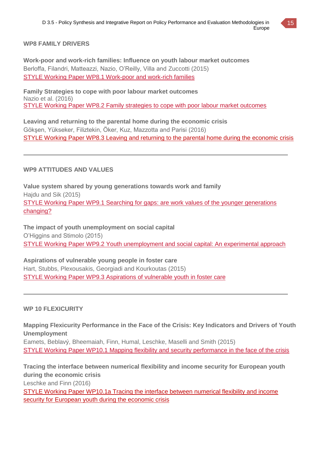

### **WP8 FAMILY DRIVERS**

**Work-poor and work-rich families: Influence on youth labour market outcomes** Berloffa, Filandri, Matteazzi, Nazio, O'Reilly, Villa and Zuccotti (2015) STYLE Working Paper WP8.1 Work-poor and work-rich families

**Family Strategies to cope with poor labour market outcomes** Nazio et al. (2016) STYLE Working Paper WP8.2 Family strategies to cope with poor labour market outcomes

**Leaving and returning to the parental home during the economic crisis** Gökşen, Yükseker, Filiztekin, Öker, Kuz, Mazzotta and Parisi (2016) STYLE Working Paper WP8.3 Leaving and returning to the parental home during the economic crisis

# **WP9 ATTITUDES AND VALUES**

**Value system shared by young generations towards work and family** Hajdu and Sik (2015) STYLE Working Paper WP9.1 Searching for gaps: are work values of the younger generations changing?

**The impact of youth unemployment on social capital** O'Higgins and Stimolo (2015) STYLE Working Paper WP9.2 Youth unemployment and social capital: An experimental approach

**Aspirations of vulnerable young people in foster care** Hart, Stubbs, Plexousakis, Georgiadi and Kourkoutas (2015) STYLE Working Paper WP9.3 Aspirations of vulnerable youth in foster care

### **WP 10 FLEXICURITY**

**Mapping Flexicurity Performance in the Face of the Crisis: Key Indicators and Drivers of Youth Unemployment**

Eamets, Beblavý, Bheemaiah, Finn, Humal, Leschke, Maselli and Smith (2015) STYLE Working Paper WP10.1 Mapping flexibility and security performance in the face of the crisis

**Tracing the interface between numerical flexibility and income security for European youth during the economic crisis** Leschke and Finn (2016) STYLE Working Paper WP10.1a Tracing the interface between numerical flexibility and income security for European youth during the economic crisis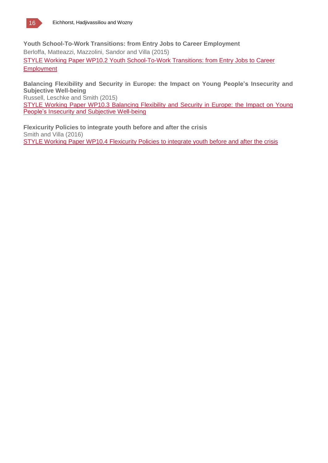**Youth School-To-Work Transitions: from Entry Jobs to Career Employment** Berloffa, Matteazzi, Mazzolini, Sandor and Villa (2015) STYLE Working Paper WP10.2 Youth School-To-Work Transitions: from Entry Jobs to Career **Employment** 

**Balancing Flexibility and Security in Europe: the Impact on Young People's Insecurity and Subjective Well-being**

Russell, Leschke and Smith (2015)

STYLE Working Paper WP10.3 Balancing Flexibility and Security in Europe: the Impact on Young People's Insecurity and Subjective Well-being

**Flexicurity Policies to integrate youth before and after the crisis** Smith and Villa (2016) STYLE Working Paper WP10.4 Flexicurity Policies to integrate youth before and after the crisis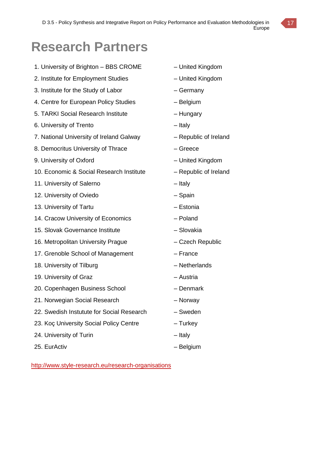# **Research Partners**

- 1. University of Brighton BBS CROME United Kingdom
- 2. Institute for Employment Studies United Kingdom
- 3. Institute for the Study of Labor Germany
- 4. Centre for European Policy Studies Belgium
- 5. TARKI Social Research Institute Hungary
- 6. University of Trento Italy
- 7. National University of Ireland Galway Republic of Ireland
- 8. Democritus University of Thrace – Greece
- 9. University of Oxford **Fig. 2018** United Kingdom
- 10. Economic & Social Research Institute Republic of Ireland
- 11. University of Salerno Italy
- 12. University of Oviedo Chain Spain
- 13. University of Tartu **External Accord Estonia**
- 14. Cracow University of Economics Poland
- 15. Slovak Governance Institute Slovakia
- 16. Metropolitan University Prague Czech Republic
- 17. Grenoble School of Management France
- 18. University of Tilburg and American Control of Tilburg and American American American American American American American American American American American American American American American American American America
- 19. University of Graz **Face Contract Contract Contract Contract Contract Contract Contract Contract Contract Contract Contract Contract Contract Contract Contract Contract Contract Contract Contract Contract Contract Cont**
- 20. Copenhagen Business School Denmark
- 21. Norwegian Social Research Norway
- 22. Swedish Instutute for Social Research Sweden
- 23. Koç University Social Policy Centre Turkey
- 24. University of Turin **Example 24.** University of Turin
- 25. EurActiv Contractive Belgium
- 
- 
- 
- 
- 
- 
- 
- 
- 
- 
- 
- 
- 
- 
- 
- 
- 
- 
- 
- 
- 
- 
- 
- 
- 

http://www.style-research.eu/research-organisations